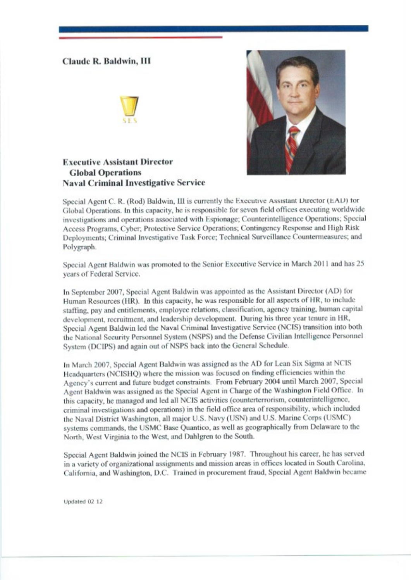## **Claude R. Baldwin, III**





**Executive Assistant Director Global Operations Naval Criminal Investigative Service** 

Special Agent C. R. (Rod) Baldwin, III is currently the Executive Assistant Director (EAD) for Global Operations. In this capacity, he is responsible for seven field offices executing worldwide investigations and operations associated with Espionage; Counterintelligence Operations; Special Access Programs, Cyber; Protective Service Operations; Contingency Response and High Risk Deployments; Criminal Investigative Task Force; Technical Surveillance Countermeasures; and Polygraph.

Special Agent Baldwin was promoted to the Senior Executive Service in March 2011 and has 25 years of Federal Scrvice.

In September 2007, Special Agent Baldwin was appointed as the Assistant Director (AD) for Human Resources (HR). In this capacity, he was responsible for all aspects of HR, to include staffing, pay and entitlements, employee relations, classification, agency training, human capital development, recruitment, and leadership development. During his three year tenure in HR, Special Agent Baldwin led the Naval Criminal Investigative Service (NCIS) transition into both the National Security Personnel System (NSPS) and the Defense Civilian Intelligence Personnel System (DCIPS) and again out of NSPS back into the General Schedule.

In March 2007, Special Agent Baldwin was assigned as the AD for Lean Six Sigma at NCIS Headquarters (NCISHQ) where the mission was focused on finding efficiencies within the Agency's current and future budget constraints. From February 2004 until March 2007, Special Agent Baldwin was assigned as the Special Agent in Charge of the Washington Field Office. In this capacity, he managed and led all NCIS activities (counterterrorism, counterintelligence, criminal investigations and operations) in the field office area of responsibility, which included the Naval District Washington, all major U.S. Navy (USN) and U.S. Marine Corps (USMC) systems commands, the USMC Base Quantico, as well as geographically from Delaware to the North, West Virginia to the West, and Dahlgren to the South.

Special Agent Baldwin joined the NCIS in February 1987. Throughout his career, he has served in a variety of organizational assignments and mission areas in offices located in South Carolina, California, and Washington, D.C. Trained in procurement fraud, Special Agent Baldwin became

Updated 02 12